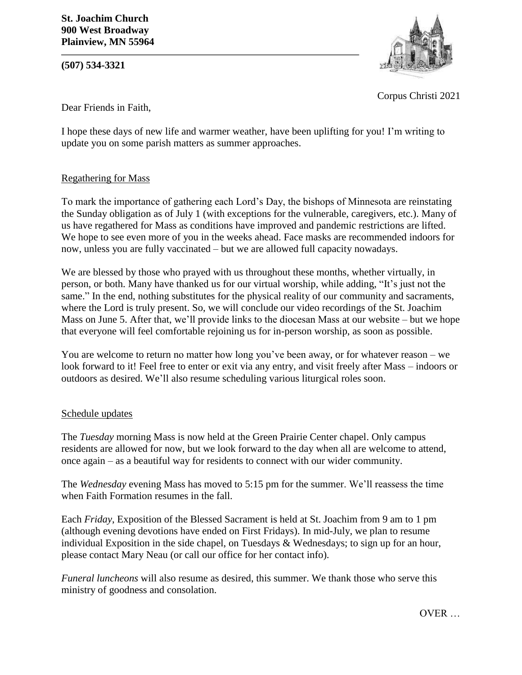**(507) 534-3321**



Corpus Christi 2021

Dear Friends in Faith,

I hope these days of new life and warmer weather, have been uplifting for you! I'm writing to update you on some parish matters as summer approaches.

## Regathering for Mass

To mark the importance of gathering each Lord's Day, the bishops of Minnesota are reinstating the Sunday obligation as of July 1 (with exceptions for the vulnerable, caregivers, etc.). Many of us have regathered for Mass as conditions have improved and pandemic restrictions are lifted. We hope to see even more of you in the weeks ahead. Face masks are recommended indoors for now, unless you are fully vaccinated – but we are allowed full capacity nowadays.

We are blessed by those who prayed with us throughout these months, whether virtually, in person, or both. Many have thanked us for our virtual worship, while adding, "It's just not the same." In the end, nothing substitutes for the physical reality of our community and sacraments, where the Lord is truly present. So, we will conclude our video recordings of the St. Joachim Mass on June 5. After that, we'll provide links to the diocesan Mass at our website – but we hope that everyone will feel comfortable rejoining us for in-person worship, as soon as possible.

You are welcome to return no matter how long you've been away, or for whatever reason – we look forward to it! Feel free to enter or exit via any entry, and visit freely after Mass – indoors or outdoors as desired. We'll also resume scheduling various liturgical roles soon.

## Schedule updates

The *Tuesday* morning Mass is now held at the Green Prairie Center chapel. Only campus residents are allowed for now, but we look forward to the day when all are welcome to attend, once again – as a beautiful way for residents to connect with our wider community.

The *Wednesday* evening Mass has moved to 5:15 pm for the summer. We'll reassess the time when Faith Formation resumes in the fall.

Each *Friday*, Exposition of the Blessed Sacrament is held at St. Joachim from 9 am to 1 pm (although evening devotions have ended on First Fridays). In mid-July, we plan to resume individual Exposition in the side chapel, on Tuesdays & Wednesdays; to sign up for an hour, please contact Mary Neau (or call our office for her contact info).

*Funeral luncheons* will also resume as desired, this summer. We thank those who serve this ministry of goodness and consolation.